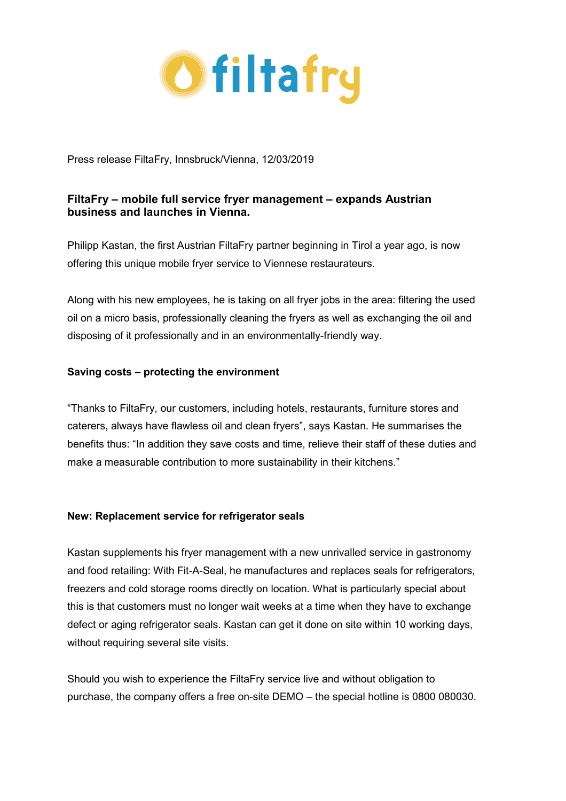

Press release FiltaFry, Innsbruck/Vienna, 12/03/2019

# **FiltaFry – mobile full service fryer management – expands Austrian business and launches in Vienna.**

Philipp Kastan, the first Austrian FiltaFry partner beginning in Tirol a year ago, is now offering this unique mobile fryer service to Viennese restaurateurs.

Along with his new employees, he is taking on all fryer jobs in the area: filtering the used oil on a micro basis, professionally cleaning the fryers as well as exchanging the oil and disposing of it professionally and in an environmentally-friendly way.

## **Saving costs – protecting the environment**

"Thanks to FiltaFry, our customers, including hotels, restaurants, furniture stores and caterers, always have flawless oil and clean fryers", says Kastan. He summarises the benefits thus: "In addition they save costs and time, relieve their staff of these duties and make a measurable contribution to more sustainability in their kitchens."

### **New: Replacement service for refrigerator seals**

Kastan supplements his fryer management with a new unrivalled service in gastronomy and food retailing: With Fit-A-Seal, he manufactures and replaces seals for refrigerators, freezers and cold storage rooms directly on location. What is particularly special about this is that customers must no longer wait weeks at a time when they have to exchange defect or aging refrigerator seals. Kastan can get it done on site within 10 working days, without requiring several site visits.

Should you wish to experience the FiltaFry service live and without obligation to purchase, the company offers a free on-site DEMO – the special hotline is 0800 080030.